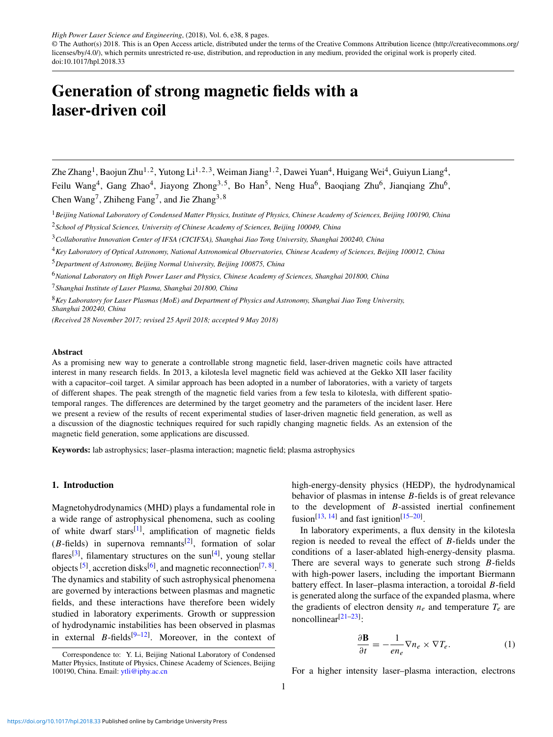*High Power Laser Science and Engineering*, (2018), Vol. 6, e38, 8 pages.

© The Author(s) 2018. This is an Open Access article, distributed under the terms of the Creative Commons Attribution licence [\(http://creativecommons.org/](http://creativecommons.org/licenses/by/4.0/) [licenses/by/4.0/\)](http://creativecommons.org/licenses/by/4.0/), which permits unrestricted re-use, distribution, and reproduction in any medium, provided the original work is properly cited. doi:10.1017/hpl.2018.33

# Generation of strong magnetic fields with a laser-driven coil

Zhe Zhang<sup>1</sup>, Baojun Zhu<sup>1,2</sup>, Yutong Li<sup>1,2,3</sup>, Weiman Jiang<sup>1,2</sup>, Dawei Yuan<sup>4</sup>, Huigang Wei<sup>4</sup>, Guiyun Liang<sup>4</sup>, Feilu Wang<sup>4</sup>, Gang Zhao<sup>4</sup>, Jiayong Zhong<sup>3,5</sup>, Bo Han<sup>5</sup>, Neng Hua<sup>6</sup>, Baoqiang Zhu<sup>6</sup>, Jianqiang Zhu<sup>6</sup>, Chen Wang<sup>7</sup>, Zhiheng Fang<sup>7</sup>, and Jie Zhang<sup>3,8</sup>

<sup>1</sup>*Beijing National Laboratory of Condensed Matter Physics, Institute of Physics, Chinese Academy of Sciences, Beijing 100190, China* <sup>2</sup>*School of Physical Sciences, University of Chinese Academy of Sciences, Beijing 100049, China*

<sup>3</sup>*Collaborative Innovation Center of IFSA (CICIFSA), Shanghai Jiao Tong University, Shanghai 200240, China*

- <sup>4</sup>*Key Laboratory of Optical Astronomy, National Astronomical Observatories, Chinese Academy of Sciences, Beijing 100012, China*
- <sup>5</sup>*Department of Astronomy, Beijing Normal University, Beijing 100875, China*
- <sup>6</sup>*National Laboratory on High Power Laser and Physics, Chinese Academy of Sciences, Shanghai 201800, China*

<sup>7</sup>*Shanghai Institute of Laser Plasma, Shanghai 201800, China*

<sup>8</sup>*Key Laboratory for Laser Plasmas (MoE) and Department of Physics and Astronomy, Shanghai Jiao Tong University, Shanghai 200240, China*

*(Received 28 November 2017; revised 25 April 2018; accepted 9 May 2018)*

#### Abstract

As a promising new way to generate a controllable strong magnetic field, laser-driven magnetic coils have attracted interest in many research fields. In 2013, a kilotesla level magnetic field was achieved at the Gekko XII laser facility with a capacitor–coil target. A similar approach has been adopted in a number of laboratories, with a variety of targets of different shapes. The peak strength of the magnetic field varies from a few tesla to kilotesla, with different spatiotemporal ranges. The differences are determined by the target geometry and the parameters of the incident laser. Here we present a review of the results of recent experimental studies of laser-driven magnetic field generation, as well as a discussion of the diagnostic techniques required for such rapidly changing magnetic fields. As an extension of the magnetic field generation, some applications are discussed.

Keywords: lab astrophysics; laser–plasma interaction; magnetic field; plasma astrophysics

# 1. Introduction

Magnetohydrodynamics (MHD) plays a fundamental role in a wide range of astrophysical phenomena, such as cooling of white dwarf stars<sup>[\[1\]](#page-6-0)</sup>, amplification of magnetic fields  $(B$ -fields) in supernova remnants<sup>[\[2\]](#page-6-1)</sup>, formation of solar flares<sup>[\[3\]](#page-6-2)</sup>, filamentary structures on the sun<sup>[\[4\]](#page-6-3)</sup>, young stellar objects  $[5]$ , accretion disks $[6]$ , and magnetic reconnection $[7, 8]$  $[7, 8]$  $[7, 8]$ . The dynamics and stability of such astrophysical phenomena are governed by interactions between plasmas and magnetic fields, and these interactions have therefore been widely studied in laboratory experiments. Growth or suppression of hydrodynamic instabilities has been observed in plasmas in external  $B$ -fields<sup>[\[9](#page-6-8)[–12\]](#page-6-9)</sup>. Moreover, in the context of

high-energy-density physics (HEDP), the hydrodynamical behavior of plasmas in intense *B*-fields is of great relevance to the development of *B*-assisted inertial confinement fusion<sup>[\[13,](#page-6-10) [14\]](#page-6-11)</sup> and fast ignition<sup>[\[15](#page-6-12)[–20\]](#page-6-13)</sup>.

In laboratory experiments, a flux density in the kilotesla region is needed to reveal the effect of *B*-fields under the conditions of a laser-ablated high-energy-density plasma. There are several ways to generate such strong *B*-fields with high-power lasers, including the important Biermann battery effect. In laser–plasma interaction, a toroidal *B*-field is generated along the surface of the expanded plasma, where the gradients of electron density  $n_e$  and temperature  $T_e$  are  $noncollinear^{[21-23]}.$  $noncollinear^{[21-23]}.$  $noncollinear^{[21-23]}.$ 

$$
\frac{\partial \mathbf{B}}{\partial t} = -\frac{1}{en_e} \nabla n_e \times \nabla T_e.
$$
 (1)

For a higher intensity laser–plasma interaction, electrons

Correspondence to: Y. Li, Beijing National Laboratory of Condensed Matter Physics, Institute of Physics, Chinese Academy of Sciences, Beijing 100190, China. Email: [ytli@iphy.ac.cn](mailto:ytli@iphy.ac.cn)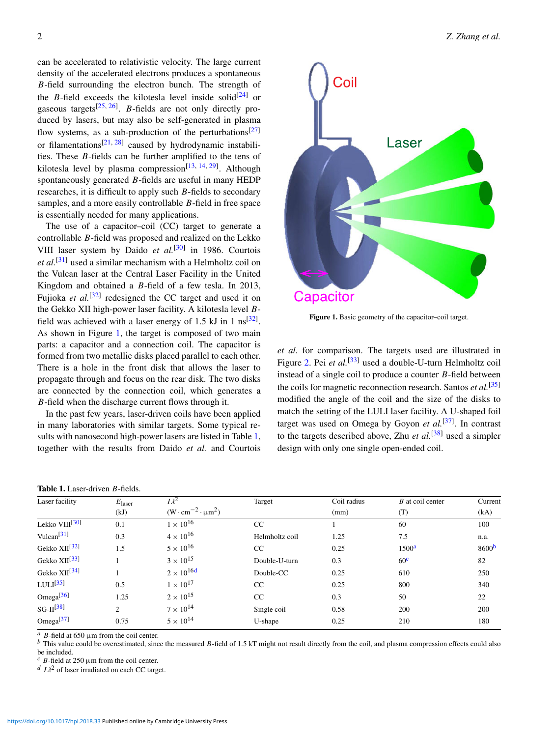can be accelerated to relativistic velocity. The large current density of the accelerated electrons produces a spontaneous *B*-field surrounding the electron bunch. The strength of the *B*-field exceeds the kilotesla level inside solid<sup>[\[24\]](#page-6-16)</sup> or gaseous targets[\[25,](#page-6-17) [26\]](#page-6-18) . *B*-fields are not only directly produced by lasers, but may also be self-generated in plasma flow systems, as a sub-production of the perturbations<sup>[\[27\]](#page-6-19)</sup> or filamentations<sup>[\[21,](#page-6-14) [28\]](#page-6-20)</sup> caused by hydrodynamic instabilities. These *B*-fields can be further amplified to the tens of kilotesla level by plasma compression<sup>[\[13,](#page-6-10) [14,](#page-6-11) [29\]](#page-7-0)</sup>. Although spontaneously generated *B*-fields are useful in many HEDP researches, it is difficult to apply such *B*-fields to secondary samples, and a more easily controllable *B*-field in free space is essentially needed for many applications.

The use of a capacitor–coil (CC) target to generate a controllable *B*-field was proposed and realized on the Lekko VIII laser system by Daido et al.<sup>[\[30\]](#page-7-1)</sup> in 1986. Courtois *et al.*[\[31\]](#page-7-2) used a similar mechanism with a Helmholtz coil on the Vulcan laser at the Central Laser Facility in the United Kingdom and obtained a *B*-field of a few tesla. In 2013, Fujioka *et al.*<sup>[\[32\]](#page-7-3)</sup> redesigned the CC target and used it on the Gekko XII high-power laser facility. A kilotesla level *B*field was achieved with a laser energy of 1.5 kJ in 1  $\text{ns}^{[32]}$  $\text{ns}^{[32]}$  $\text{ns}^{[32]}$ . As shown in Figure [1,](#page-1-0) the target is composed of two main parts: a capacitor and a connection coil. The capacitor is formed from two metallic disks placed parallel to each other. There is a hole in the front disk that allows the laser to propagate through and focus on the rear disk. The two disks are connected by the connection coil, which generates a *B*-field when the discharge current flows through it.

In the past few years, laser-driven coils have been applied in many laboratories with similar targets. Some typical results with nanosecond high-power lasers are listed in Table [1,](#page-1-1) together with the results from Daido *et al.* and Courtois

<span id="page-1-1"></span>

<span id="page-1-0"></span>

Figure 1. Basic geometry of the capacitor–coil target.

*et al.* for comparison. The targets used are illustrated in Figure [2.](#page-2-0) Pei *et al.*<sup>[\[33\]](#page-7-4)</sup> used a double-U-turn Helmholtz coil instead of a single coil to produce a counter *B*-field between the coils for magnetic reconnection research. Santos *et al.*[\[35\]](#page-7-5) modified the angle of the coil and the size of the disks to match the setting of the LULI laser facility. A U-shaped foil target was used on Omega by Goyon *et al.*[\[37\]](#page-7-6) . In contrast to the targets described above, Zhu *et al.*[\[38\]](#page-7-7) used a simpler design with only one single open-ended coil.

| Laser facility            | $E_{\text{laser}}$<br>(kJ) | $I \lambda^2$<br>$(W \cdot cm^{-2} \cdot \mu m^2)$ | Target         | Coil radius<br>(mm) | $B$ at coil center<br>(T) | Current<br>(kA)   |
|---------------------------|----------------------------|----------------------------------------------------|----------------|---------------------|---------------------------|-------------------|
|                           |                            |                                                    |                |                     |                           |                   |
| Vulcan <sup>[31]</sup>    | 0.3                        | $4 \times 10^{16}$                                 | Helmholtz coil | 1.25                | 7.5                       | n.a.              |
| Gekko XII <sup>[32]</sup> | 1.5                        | $5 \times 10^{16}$                                 | CC             | 0.25                | 1500 <sup>a</sup>         | 8600 <sup>b</sup> |
| Gekko XII <sup>[33]</sup> |                            | $3 \times 10^{15}$                                 | Double-U-turn  | 0.3                 | 60 <sup>c</sup>           | 82                |
| Gekko XII <sup>[34]</sup> |                            | $2 \times 10^{16d}$                                | Double-CC      | 0.25                | 610                       | 250               |
| LULI <sup>[35]</sup>      | 0.5                        | $1 \times 10^{17}$                                 | CC             | 0.25                | 800                       | 340               |
| Omega $[36]$              | 1.25                       | $2 \times 10^{15}$                                 | CC             | 0.3                 | 50                        | 22                |
| $SG-II^{[38]}$            | $\mathfrak{D}$             | $7 \times 10^{14}$                                 | Single coil    | 0.58                | 200                       | 200               |
| Omega $[37]$              | 0.75                       | $5 \times 10^{14}$                                 | U-shape        | 0.25                | 210                       | 180               |

<span id="page-1-3"></span><span id="page-1-2"></span> $B$ -field at 650  $\mu$ m from the coil center.

*b* This value could be overestimated, since the measured *B*-field of 1.5 kT might not result directly from the coil, and plasma compression effects could also be included.

<span id="page-1-5"></span><span id="page-1-4"></span> $c$  *B*-field at 250  $\mu$ m from the coil center.

 $d \, I \lambda^2$  of laser irradiated on each CC target.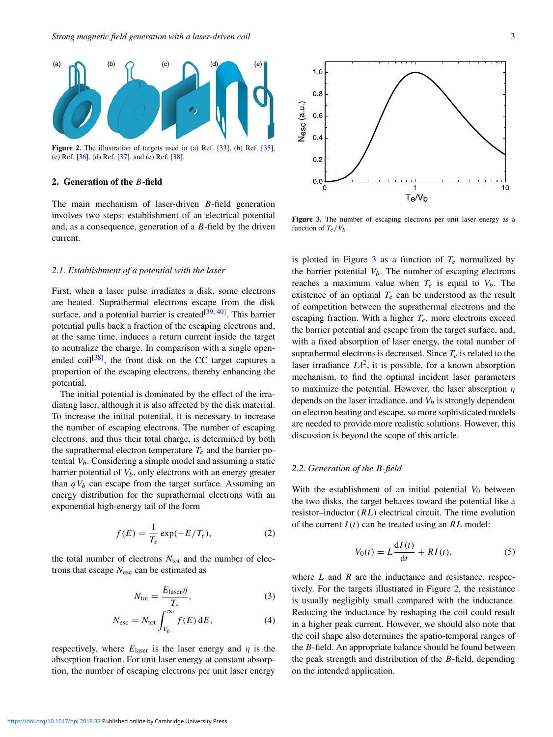<span id="page-2-0"></span>

Figure 2. The illustration of targets used in (a) Ref. [\[33\]](#page-7-4), (b) Ref. [\[35\]](#page-7-5), (c) Ref. [\[36\]](#page-7-9), (d) Ref. [\[37\]](#page-7-6), and (e) Ref. [\[38\]](#page-7-7).

# 2. Generation of the *B*-field

The main mechanism of laser-driven *B*-field generation involves two steps: establishment of an electrical potential and, as a consequence, generation of a *B*-field by the driven current.

## *2.1. Establishment of a potential with the laser*

First, when a laser pulse irradiates a disk, some electrons are heated. Suprathermal electrons escape from the disk surface, and a potential barrier is created<sup>[\[39,](#page-7-10) [40\]](#page-7-11)</sup>. This barrier potential pulls back a fraction of the escaping electrons and, at the same time, induces a return current inside the target to neutralize the charge. In comparison with a single open-ended coil<sup>[\[38\]](#page-7-7)</sup>, the front disk on the CC target captures a proportion of the escaping electrons, thereby enhancing the potential.

The initial potential is dominated by the effect of the irradiating laser, although it is also affected by the disk material. To increase the initial potential, it is necessary to increase the number of escaping electrons. The number of escaping electrons, and thus their total charge, is determined by both the suprathermal electron temperature  $T_e$  and the barrier potential *Vb*. Considering a simple model and assuming a static barrier potential of *Vb*, only electrons with an energy greater than  $qV<sub>b</sub>$  can escape from the target surface. Assuming an energy distribution for the suprathermal electrons with an exponential high-energy tail of the form

$$
f(E) = \frac{1}{T_e} \exp(-E/T_e),\tag{2}
$$

the total number of electrons  $N_{\text{tot}}$  and the number of electrons that escape *N*esc can be estimated as

$$
N_{\text{tot}} = \frac{E_{\text{laser}} \eta}{T_e},\tag{3}
$$

$$
N_{\rm esc} = N_{\rm tot} \int_{V_b}^{\infty} f(E) \, \mathrm{d}E,\tag{4}
$$

respectively, where  $E_{\text{laser}}$  is the laser energy and  $\eta$  is the absorption fraction. For unit laser energy at constant absorption, the number of escaping electrons per unit laser energy

<span id="page-2-1"></span>

Figure 3. The number of escaping electrons per unit laser energy as a function of  $T_e/V_b$ .

is plotted in Figure [3](#page-2-1) as a function of  $T_e$  normalized by the barrier potential  $V_b$ . The number of escaping electrons reaches a maximum value when  $T_e$  is equal to  $V_b$ . The existence of an optimal  $T_e$  can be understood as the result of competition between the suprathermal electrons and the escaping fraction. With a higher  $T_e$ , more electrons exceed the barrier potential and escape from the target surface, and, with a fixed absorption of laser energy, the total number of suprathermal electrons is decreased. Since  $T_e$  is related to the laser irradiance  $I\lambda^2$ , it is possible, for a known absorption<br>mechanism, to find the optimal incident laser parameters mechanism, to find the optimal incident laser parameters to maximize the potential. However, the laser absorption  $\eta$ depends on the laser irradiance, and  $V_b$  is strongly dependent on electron heating and escape, so more sophisticated models are needed to provide more realistic solutions. However, this discussion is beyond the scope of this article.

#### *2.2. Generation of the B-field*

With the establishment of an initial potential  $V_0$  between the two disks, the target behaves toward the potential like a resistor–inductor (*RL*) electrical circuit. The time evolution of the current *I*(*t*) can be treated using an *RL* model:

$$
V_0(t) = L\frac{\mathrm{d}I(t)}{\mathrm{d}t} + RI(t),\tag{5}
$$

where *L* and *R* are the inductance and resistance, respectively. For the targets illustrated in Figure [2,](#page-2-0) the resistance is usually negligibly small compared with the inductance. Reducing the inductance by reshaping the coil could result in a higher peak current. However, we should also note that the coil shape also determines the spatio-temporal ranges of the *B*-field. An appropriate balance should be found between the peak strength and distribution of the *B*-field, depending on the intended application.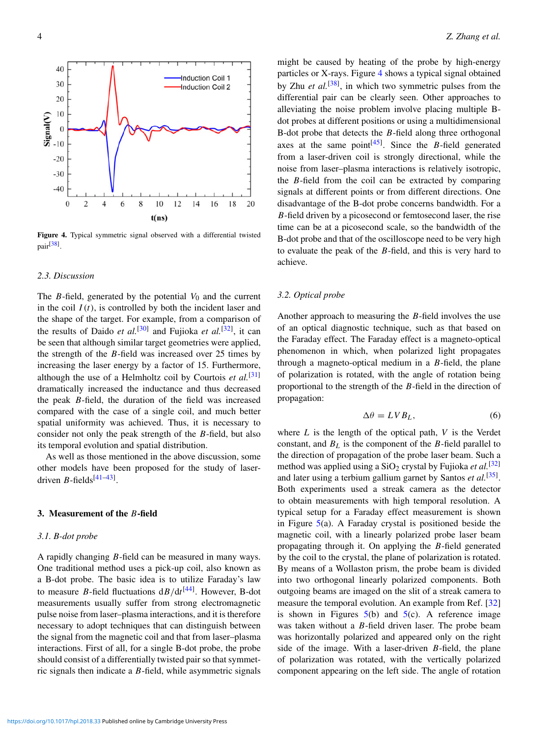<span id="page-3-0"></span>

Figure 4. Typical symmetric signal observed with a differential twisted pair<sup>[\[38\]](#page-7-7)</sup>.

## *2.3. Discussion*

The *B*-field, generated by the potential  $V_0$  and the current in the coil  $I(t)$ , is controlled by both the incident laser and the shape of the target. For example, from a comparison of the results of Daido *et al.*<sup>[\[30\]](#page-7-1)</sup> and Fujioka *et al.*<sup>[\[32\]](#page-7-3)</sup>, it can be seen that although similar target geometries were applied, the strength of the *B*-field was increased over 25 times by increasing the laser energy by a factor of 15. Furthermore, although the use of a Helmholtz coil by Courtois *et al.*[\[31\]](#page-7-2) dramatically increased the inductance and thus decreased the peak *B*-field, the duration of the field was increased compared with the case of a single coil, and much better spatial uniformity was achieved. Thus, it is necessary to consider not only the peak strength of the *B*-field, but also its temporal evolution and spatial distribution.

As well as those mentioned in the above discussion, some other models have been proposed for the study of laserdriven *B*-fields<sup>[\[41](#page-7-12)[–43\]](#page-7-13)</sup>.

## 3. Measurement of the *B*-field

#### *3.1. B-dot probe*

A rapidly changing *B*-field can be measured in many ways. One traditional method uses a pick-up coil, also known as a B-dot probe. The basic idea is to utilize Faraday's law to measure *B*-field fluctuations d*B*/d*t* [\[44\]](#page-7-14) . However, B-dot measurements usually suffer from strong electromagnetic pulse noise from laser–plasma interactions, and it is therefore necessary to adopt techniques that can distinguish between the signal from the magnetic coil and that from laser–plasma interactions. First of all, for a single B-dot probe, the probe should consist of a differentially twisted pair so that symmetric signals then indicate a *B*-field, while asymmetric signals might be caused by heating of the probe by high-energy particles or X-rays. Figure [4](#page-3-0) shows a typical signal obtained by Zhu *et al.*<sup>[\[38\]](#page-7-7)</sup>, in which two symmetric pulses from the differential pair can be clearly seen. Other approaches to alleviating the noise problem involve placing multiple Bdot probes at different positions or using a multidimensional B-dot probe that detects the *B*-field along three orthogonal axes at the same point<sup>[\[45\]](#page-7-15)</sup>. Since the *B*-field generated from a laser-driven coil is strongly directional, while the noise from laser–plasma interactions is relatively isotropic, the *B*-field from the coil can be extracted by comparing signals at different points or from different directions. One disadvantage of the B-dot probe concerns bandwidth. For a *B*-field driven by a picosecond or femtosecond laser, the rise time can be at a picosecond scale, so the bandwidth of the B-dot probe and that of the oscilloscope need to be very high to evaluate the peak of the *B*-field, and this is very hard to achieve.

## *3.2. Optical probe*

Another approach to measuring the *B*-field involves the use of an optical diagnostic technique, such as that based on the Faraday effect. The Faraday effect is a magneto-optical phenomenon in which, when polarized light propagates through a magneto-optical medium in a *B*-field, the plane of polarization is rotated, with the angle of rotation being proportional to the strength of the *B*-field in the direction of propagation:

<span id="page-3-1"></span>
$$
\Delta \theta = LV B_L,\tag{6}
$$

where *L* is the length of the optical path, *V* is the Verdet constant, and  $B_L$  is the component of the *B*-field parallel to the direction of propagation of the probe laser beam. Such a method was applied using a SiO<sub>2</sub> crystal by Fujioka et al.<sup>[\[32\]](#page-7-3)</sup> and later using a terbium gallium garnet by Santos et al.<sup>[\[35\]](#page-7-5)</sup>. Both experiments used a streak camera as the detector to obtain measurements with high temporal resolution. A typical setup for a Faraday effect measurement is shown in Figure  $5(a)$  $5(a)$ . A Faraday crystal is positioned beside the magnetic coil, with a linearly polarized probe laser beam propagating through it. On applying the *B*-field generated by the coil to the crystal, the plane of polarization is rotated. By means of a Wollaston prism, the probe beam is divided into two orthogonal linearly polarized components. Both outgoing beams are imaged on the slit of a streak camera to measure the temporal evolution. An example from Ref. [\[32\]](#page-7-3) is shown in Figures  $5(b)$  $5(b)$  and  $5(c)$ . A reference image was taken without a *B*-field driven laser. The probe beam was horizontally polarized and appeared only on the right side of the image. With a laser-driven *B*-field, the plane of polarization was rotated, with the vertically polarized component appearing on the left side. The angle of rotation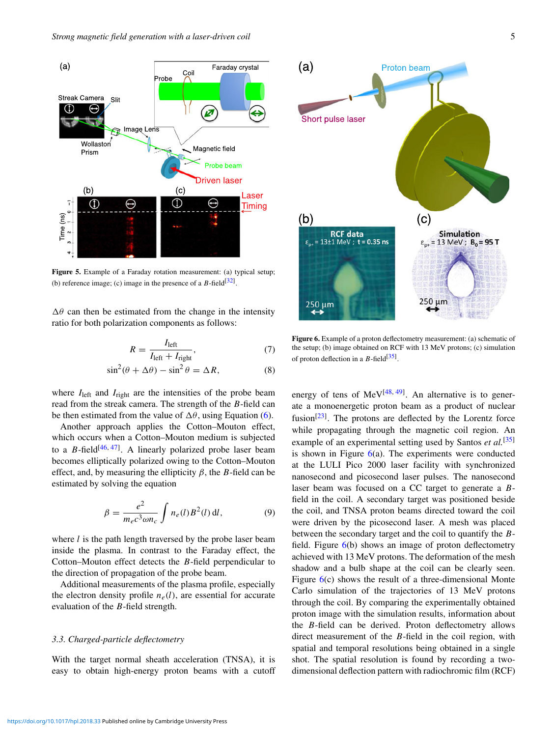<span id="page-4-0"></span>

Figure 5. Example of a Faraday rotation measurement: (a) typical setup; (b) reference image; (c) image in the presence of a  $B$ -field<sup>[\[32\]](#page-7-3)</sup>.

 $\Delta\theta$  can then be estimated from the change in the intensity ratio for both polarization components as follows:

$$
R = \frac{I_{\text{left}}}{I_{\text{left}} + I_{\text{right}}},\tag{7}
$$

$$
\sin^2(\theta + \Delta\theta) - \sin^2\theta = \Delta R,\tag{8}
$$

where *I*<sub>left</sub> and *I*<sub>right</sub> are the intensities of the probe beam read from the streak camera. The strength of the *B*-field can be then estimated from the value of  $\Delta\theta$ , using Equation [\(6\)](#page-3-1).

Another approach applies the Cotton–Mouton effect, which occurs when a Cotton–Mouton medium is subjected to a  $B$ -field<sup>[\[46,](#page-7-16) [47\]](#page-7-17)</sup>. A linearly polarized probe laser beam becomes elliptically polarized owing to the Cotton–Mouton effect, and, by measuring the ellipticity  $\beta$ , the *B*-field can be estimated by solving the equation

$$
\beta = \frac{e^2}{m_e c^3 \omega n_c} \int n_e(l) B^2(l) \, \mathrm{d}l,\tag{9}
$$

where *l* is the path length traversed by the probe laser beam inside the plasma. In contrast to the Faraday effect, the Cotton–Mouton effect detects the *B*-field perpendicular to the direction of propagation of the probe beam.

Additional measurements of the plasma profile, especially the electron density profile  $n_e(l)$ , are essential for accurate evaluation of the *B*-field strength.

# *3.3. Charged-particle deflectometry*

With the target normal sheath acceleration (TNSA), it is easy to obtain high-energy proton beams with a cutoff

<span id="page-4-1"></span>

Figure 6. Example of a proton deflectometry measurement: (a) schematic of the setup; (b) image obtained on RCF with 13 MeV protons; (c) simulation of proton deflection in a  $B$ -field<sup>[\[35\]](#page-7-5)</sup>.

energy of tens of MeV $[48, 49]$  $[48, 49]$  $[48, 49]$ . An alternative is to generate a monoenergetic proton beam as a product of nuclear fusion<sup>[\[23\]](#page-6-15)</sup>. The protons are deflected by the Lorentz force while propagating through the magnetic coil region. An example of an experimental setting used by Santos *et al.*[\[35\]](#page-7-5) is shown in Figure  $6(a)$  $6(a)$ . The experiments were conducted at the LULI Pico 2000 laser facility with synchronized nanosecond and picosecond laser pulses. The nanosecond laser beam was focused on a CC target to generate a *B*field in the coil. A secondary target was positioned beside the coil, and TNSA proton beams directed toward the coil were driven by the picosecond laser. A mesh was placed between the secondary target and the coil to quantify the *B*field. Figure  $6(b)$  $6(b)$  shows an image of proton deflectometry achieved with 13 MeV protons. The deformation of the mesh shadow and a bulb shape at the coil can be clearly seen. Figure [6\(](#page-4-1)c) shows the result of a three-dimensional Monte Carlo simulation of the trajectories of 13 MeV protons through the coil. By comparing the experimentally obtained proton image with the simulation results, information about the *B*-field can be derived. Proton deflectometry allows direct measurement of the *B*-field in the coil region, with spatial and temporal resolutions being obtained in a single shot. The spatial resolution is found by recording a twodimensional deflection pattern with radiochromic film (RCF)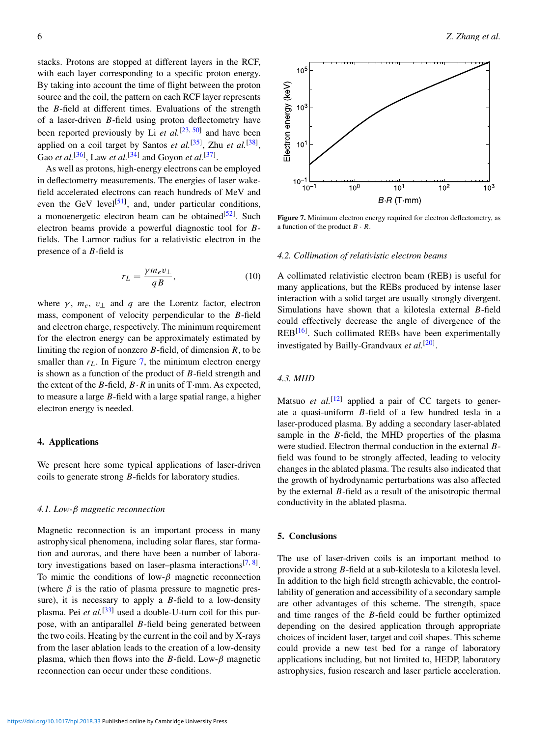stacks. Protons are stopped at different layers in the RCF, with each layer corresponding to a specific proton energy. By taking into account the time of flight between the proton source and the coil, the pattern on each RCF layer represents the *B*-field at different times. Evaluations of the strength of a laser-driven *B*-field using proton deflectometry have been reported previously by Li *et al.*<sup>[\[23,](#page-6-15) [50\]](#page-7-20)</sup> and have been applied on a coil target by Santos *et al.*<sup>[\[35\]](#page-7-5)</sup>, Zhu *et al.*<sup>[\[38\]](#page-7-7)</sup>, Gao *et al.*<sup>[\[36\]](#page-7-9)</sup>, Law *et al.*<sup>[\[34\]](#page-7-8)</sup> and Goyon *et al.*<sup>[\[37\]](#page-7-6)</sup>.

As well as protons, high-energy electrons can be employed in deflectometry measurements. The energies of laser wakefield accelerated electrons can reach hundreds of MeV and even the GeV level<sup>[\[51\]](#page-7-21)</sup>, and, under particular conditions, a monoenergetic electron beam can be obtained<sup>[\[52\]](#page-7-22)</sup>. Such electron beams provide a powerful diagnostic tool for *B*fields. The Larmor radius for a relativistic electron in the presence of a *B*-field is

$$
r_L = \frac{\gamma m_e v_\perp}{qB},\tag{10}
$$

where  $\gamma$ ,  $m_e$ ,  $v_{\perp}$  and  $q$  are the Lorentz factor, electron mass, component of velocity perpendicular to the *B*-field and electron charge, respectively. The minimum requirement for the electron energy can be approximately estimated by limiting the region of nonzero *B*-field, of dimension *R*, to be smaller than  $r<sub>L</sub>$ . In Figure [7,](#page-5-0) the minimum electron energy is shown as a function of the product of *B*-field strength and the extent of the *B*-field,  $B \cdot R$  in units of T·mm. As expected, to measure a large *B*-field with a large spatial range, a higher electron energy is needed.

#### 4. Applications

We present here some typical applications of laser-driven coils to generate strong *B*-fields for laboratory studies.

## *4.1. Low-*β *magnetic reconnection*

Magnetic reconnection is an important process in many astrophysical phenomena, including solar flares, star formation and auroras, and there have been a number of labora-tory investigations based on laser-plasma interactions<sup>[\[7,](#page-6-6) [8\]](#page-6-7)</sup>. To mimic the conditions of low- $\beta$  magnetic reconnection (where  $\beta$  is the ratio of plasma pressure to magnetic pressure), it is necessary to apply a *B*-field to a low-density plasma. Pei *et al.*[\[33\]](#page-7-4) used a double-U-turn coil for this purpose, with an antiparallel *B*-field being generated between the two coils. Heating by the current in the coil and by X-rays from the laser ablation leads to the creation of a low-density plasma, which then flows into the *B*-field. Low- $\beta$  magnetic reconnection can occur under these conditions.

<span id="page-5-0"></span>

 $10^{1}$ 

 $B \cdot R$  (T $\cdot$ mm)

 $10<sup>2</sup>$ 

Figure 7. Minimum electron energy required for electron deflectometry, as a function of the product  $B \cdot R$ .

#### *4.2. Collimation of relativistic electron beams*

 $10<sup>0</sup>$ 

A collimated relativistic electron beam (REB) is useful for many applications, but the REBs produced by intense laser interaction with a solid target are usually strongly divergent. Simulations have shown that a kilotesla external *B*-field could effectively decrease the angle of divergence of the REB<sup>[\[16\]](#page-6-21)</sup>. Such collimated REBs have been experimentally investigated by Bailly-Grandvaux et al.<sup>[\[20\]](#page-6-13)</sup>.

# *4.3. MHD*

 $10<sup>°</sup>$ 

 $10<sup>-</sup>$ 

Matsuo *et al.*<sup>[\[12\]](#page-6-9)</sup> applied a pair of CC targets to generate a quasi-uniform *B*-field of a few hundred tesla in a laser-produced plasma. By adding a secondary laser-ablated sample in the *B*-field, the MHD properties of the plasma were studied. Electron thermal conduction in the external *B*field was found to be strongly affected, leading to velocity changes in the ablated plasma. The results also indicated that the growth of hydrodynamic perturbations was also affected by the external *B*-field as a result of the anisotropic thermal conductivity in the ablated plasma.

# 5. Conclusions

The use of laser-driven coils is an important method to provide a strong *B*-field at a sub-kilotesla to a kilotesla level. In addition to the high field strength achievable, the controllability of generation and accessibility of a secondary sample are other advantages of this scheme. The strength, space and time ranges of the *B*-field could be further optimized depending on the desired application through appropriate choices of incident laser, target and coil shapes. This scheme could provide a new test bed for a range of laboratory applications including, but not limited to, HEDP, laboratory astrophysics, fusion research and laser particle acceleration.

 $10<sup>3</sup>$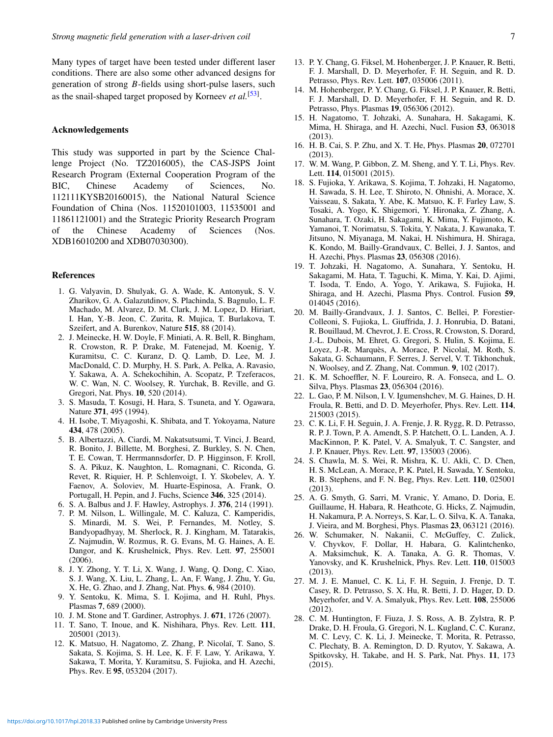Many types of target have been tested under different laser conditions. There are also some other advanced designs for generation of strong *B*-fields using short-pulse lasers, such as the snail-shaped target proposed by Korneev *et al.*[\[53\]](#page-7-23) .

#### Acknowledgements

This study was supported in part by the Science Challenge Project (No. TZ2016005), the CAS-JSPS Joint Research Program (External Cooperation Program of the BIC, Chinese Academy of Sciences, No. 112111KYSB20160015), the National Natural Science Foundation of China (Nos. 11520101003, 11535001 and 11861121001) and the Strategic Priority Research Program of the Chinese Academy of Sciences (Nos. XDB16010200 and XDB07030300).

## References

- <span id="page-6-0"></span>1. G. Valyavin, D. Shulyak, G. A. Wade, K. Antonyuk, S. V. Zharikov, G. A. Galazutdinov, S. Plachinda, S. Bagnulo, L. F. Machado, M. Alvarez, D. M. Clark, J. M. Lopez, D. Hiriart, I. Han, Y.-B. Jeon, C. Zurita, R. Mujica, T. Burlakova, T. Szeifert, and A. Burenkov, Nature 515, 88 (2014).
- <span id="page-6-1"></span>2. J. Meinecke, H. W. Doyle, F. Miniati, A. R. Bell, R. Bingham, R. Crowston, R. P. Drake, M. Fatenejad, M. Koenig, Y. Kuramitsu, C. C. Kuranz, D. Q. Lamb, D. Lee, M. J. MacDonald, C. D. Murphy, H. S. Park, A. Pelka, A. Ravasio, Y. Sakawa, A. A. Schekochihin, A. Scopatz, P. Tzeferacos, W. C. Wan, N. C. Woolsey, R. Yurchak, B. Reville, and G. Gregori, Nat. Phys. 10, 520 (2014).
- <span id="page-6-2"></span>3. S. Masuda, T. Kosugi, H. Hara, S. Tsuneta, and Y. Ogawara, Nature 371, 495 (1994).
- <span id="page-6-3"></span>4. H. Isobe, T. Miyagoshi, K. Shibata, and T. Yokoyama, Nature 434, 478 (2005).
- <span id="page-6-4"></span>5. B. Albertazzi, A. Ciardi, M. Nakatsutsumi, T. Vinci, J. Beard, R. Bonito, J. Billette, M. Borghesi, Z. Burkley, S. N. Chen, T. E. Cowan, T. Herrmannsdorfer, D. P. Higginson, F. Kroll, S. A. Pikuz, K. Naughton, L. Romagnani, C. Riconda, G. Revet, R. Riquier, H. P. Schlenvoigt, I. Y. Skobelev, A. Y. Faenov, A. Soloviev, M. Huarte-Espinosa, A. Frank, O. Portugall, H. Pepin, and J. Fuchs, Science 346, 325 (2014).
- <span id="page-6-6"></span><span id="page-6-5"></span>6. S. A. Balbus and J. F. Hawley, Astrophys. J. 376, 214 (1991).
- 7. P. M. Nilson, L. Willingale, M. C. Kaluza, C. Kamperidis, S. Minardi, M. S. Wei, P. Fernandes, M. Notley, S. Bandyopadhyay, M. Sherlock, R. J. Kingham, M. Tatarakis, Z. Najmudin, W. Rozmus, R. G. Evans, M. G. Haines, A. E. Dangor, and K. Krushelnick, Phys. Rev. Lett. 97, 255001 (2006).
- <span id="page-6-7"></span>8. J. Y. Zhong, Y. T. Li, X. Wang, J. Wang, Q. Dong, C. Xiao, S. J. Wang, X. Liu, L. Zhang, L. An, F. Wang, J. Zhu, Y. Gu, X. He, G. Zhao, and J. Zhang, Nat. Phys. 6, 984 (2010).
- <span id="page-6-8"></span>9. Y. Sentoku, K. Mima, S. I. Kojima, and H. Ruhl, Phys. Plasmas 7, 689 (2000).
- 10. J. M. Stone and T. Gardiner, Astrophys. J. 671, 1726 (2007).
- 11. T. Sano, T. Inoue, and K. Nishihara, Phys. Rev. Lett. 111, 205001 (2013).
- <span id="page-6-9"></span>12. K. Matsuo, H. Nagatomo, Z. Zhang, P. Nicolaï, T. Sano, S. Sakata, S. Kojima, S. H. Lee, K. F. F. Law, Y. Arikawa, Y. Sakawa, T. Morita, Y. Kuramitsu, S. Fujioka, and H. Azechi, Phys. Rev. E 95, 053204 (2017).
- <span id="page-6-10"></span>13. P. Y. Chang, G. Fiksel, M. Hohenberger, J. P. Knauer, R. Betti, F. J. Marshall, D. D. Meyerhofer, F. H. Seguin, and R. D. Petrasso, Phys. Rev. Lett. 107, 035006 (2011).
- <span id="page-6-11"></span>14. M. Hohenberger, P. Y. Chang, G. Fiksel, J. P. Knauer, R. Betti, F. J. Marshall, D. D. Meyerhofer, F. H. Seguin, and R. D. Petrasso, Phys. Plasmas 19, 056306 (2012).
- <span id="page-6-12"></span>15. H. Nagatomo, T. Johzaki, A. Sunahara, H. Sakagami, K. Mima, H. Shiraga, and H. Azechi, Nucl. Fusion 53, 063018 (2013).
- <span id="page-6-21"></span>16. H. B. Cai, S. P. Zhu, and X. T. He, Phys. Plasmas 20, 072701 (2013).
- 17. W. M. Wang, P. Gibbon, Z. M. Sheng, and Y. T. Li, Phys. Rev. Lett. 114, 015001 (2015).
- 18. S. Fujioka, Y. Arikawa, S. Kojima, T. Johzaki, H. Nagatomo, H. Sawada, S. H. Lee, T. Shiroto, N. Ohnishi, A. Morace, X. Vaisseau, S. Sakata, Y. Abe, K. Matsuo, K. F. Farley Law, S. Tosaki, A. Yogo, K. Shigemori, Y. Hironaka, Z. Zhang, A. Sunahara, T. Ozaki, H. Sakagami, K. Mima, Y. Fujimoto, K. Yamanoi, T. Norimatsu, S. Tokita, Y. Nakata, J. Kawanaka, T. Jitsuno, N. Miyanaga, M. Nakai, H. Nishimura, H. Shiraga, K. Kondo, M. Bailly-Grandvaux, C. Bellei, J. J. Santos, and H. Azechi, Phys. Plasmas 23, 056308 (2016).
- 19. T. Johzaki, H. Nagatomo, A. Sunahara, Y. Sentoku, H. Sakagami, M. Hata, T. Taguchi, K. Mima, Y. Kai, D. Ajimi, T. Isoda, T. Endo, A. Yogo, Y. Arikawa, S. Fujioka, H. Shiraga, and H. Azechi, Plasma Phys. Control. Fusion 59, 014045 (2016).
- <span id="page-6-13"></span>20. M. Bailly-Grandvaux, J. J. Santos, C. Bellei, P. Forestier-Colleoni, S. Fujioka, L. Giuffrida, J. J. Honrubia, D. Batani, R. Bouillaud, M. Chevrot, J. E. Cross, R. Crowston, S. Dorard, J.-L. Dubois, M. Ehret, G. Gregori, S. Hulin, S. Kojima, E. Loyez, J.-R. Marquès, A. Morace, P. Nicolaï, M. Roth, S. Sakata, G. Schaumann, F. Serres, J. Servel, V. T. Tikhonchuk, N. Woolsey, and Z. Zhang, Nat. Commun. 9, 102 (2017).
- <span id="page-6-14"></span>21. K. M. Schoeffler, N. F. Loureiro, R. A. Fonseca, and L. O. Silva, Phys. Plasmas 23, 056304 (2016).
- 22. L. Gao, P. M. Nilson, I. V. Igumenshchev, M. G. Haines, D. H. Froula, R. Betti, and D. D. Meyerhofer, Phys. Rev. Lett. 114, 215003 (2015).
- <span id="page-6-15"></span>23. C. K. Li, F. H. Seguin, J. A. Frenje, J. R. Rygg, R. D. Petrasso, R. P. J. Town, P. A. Amendt, S. P. Hatchett, O. L. Landen, A. J. MacKinnon, P. K. Patel, V. A. Smalyuk, T. C. Sangster, and J. P. Knauer, Phys. Rev. Lett. 97, 135003 (2006).
- <span id="page-6-16"></span>24. S. Chawla, M. S. Wei, R. Mishra, K. U. Akli, C. D. Chen, H. S. McLean, A. Morace, P. K. Patel, H. Sawada, Y. Sentoku, R. B. Stephens, and F. N. Beg, Phys. Rev. Lett. 110, 025001 (2013).
- <span id="page-6-17"></span>25. A. G. Smyth, G. Sarri, M. Vranic, Y. Amano, D. Doria, E. Guillaume, H. Habara, R. Heathcote, G. Hicks, Z. Najmudin, H. Nakamura, P. A. Norreys, S. Kar, L. O. Silva, K. A. Tanaka, J. Vieira, and M. Borghesi, Phys. Plasmas 23, 063121 (2016).
- <span id="page-6-18"></span>26. W. Schumaker, N. Nakanii, C. McGuffey, C. Zulick, V. Chyvkov, F. Dollar, H. Habara, G. Kalintchenko, A. Maksimchuk, K. A. Tanaka, A. G. R. Thomas, V. Yanovsky, and K. Krushelnick, Phys. Rev. Lett. 110, 015003 (2013).
- <span id="page-6-19"></span>27. M. J. E. Manuel, C. K. Li, F. H. Seguin, J. Frenje, D. T. Casey, R. D. Petrasso, S. X. Hu, R. Betti, J. D. Hager, D. D. Meyerhofer, and V. A. Smalyuk, Phys. Rev. Lett. 108, 255006 (2012).
- <span id="page-6-20"></span>28. C. M. Huntington, F. Fiuza, J. S. Ross, A. B. Zylstra, R. P. Drake, D. H. Froula, G. Gregori, N. L. Kugland, C. C. Kuranz, M. C. Levy, C. K. Li, J. Meinecke, T. Morita, R. Petrasso, C. Plechaty, B. A. Remington, D. D. Ryutov, Y. Sakawa, A. Spitkovsky, H. Takabe, and H. S. Park, Nat. Phys. 11, 173 (2015).